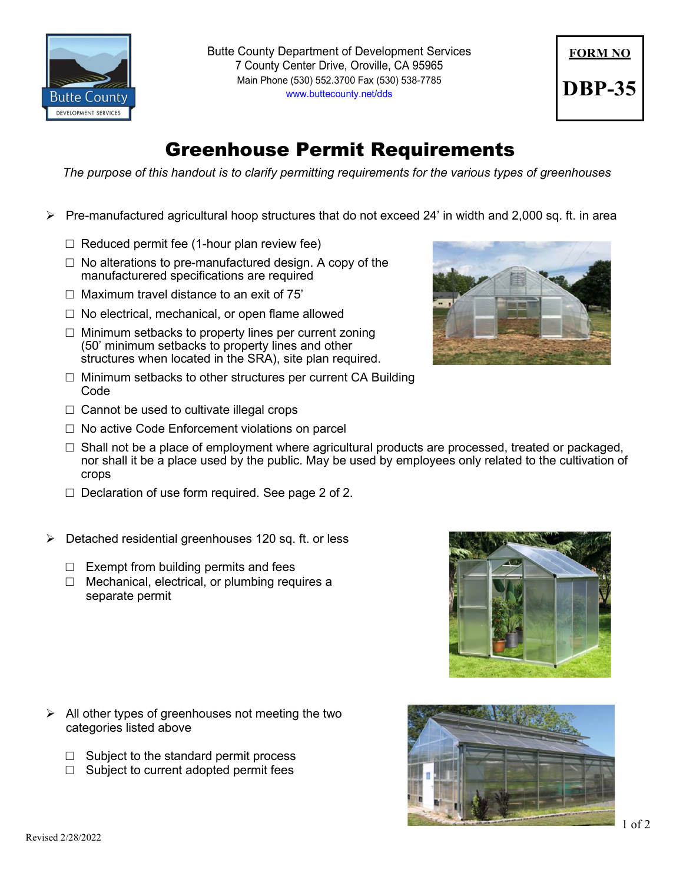

Butte County Department of Development Services 7 County Center Drive, Oroville, CA 95965 Main Phone (530) 552.3700 Fax (530) 538-7785 [www.buttecounty.net/dds](http://www.buttecounty.net/dds)

## **FORM NO DBP-35**

## Greenhouse Permit Requirements

*The purpose of this handout is to clarify permitting requirements for the various types of greenhouses*

- $\triangleright$  Pre-manufactured agricultural hoop structures that do not exceed 24' in width and 2,000 sq. ft. in area
	- $\Box$  Reduced permit fee (1-hour plan review fee)
	- $\Box$  No alterations to pre-manufactured design. A copy of the manufacturered specifications are required
	- $\Box$  Maximum travel distance to an exit of 75'
	- $\Box$  No electrical, mechanical, or open flame allowed
	- $\Box$  Minimum setbacks to property lines per current zoning (50' minimum setbacks to property lines and other structures when located in the SRA), site plan required.
	- $\Box$  Minimum setbacks to other structures per current CA Building Code
	- $\Box$  Cannot be used to cultivate illegal crops
	- $\Box$  No active Code Enforcement violations on parcel
	- $\Box$  Shall not be a place of employment where agricultural products are processed, treated or packaged, nor shall it be a place used by the public. May be used by employees only related to the cultivation of crops
	- $\Box$  Declaration of use form required. See page 2 of 2.
- $\triangleright$  Detached residential greenhouses 120 sq. ft. or less
	- $\Box$  Exempt from building permits and fees
	- $\Box$  Mechanical, electrical, or plumbing requires a separate permit

- $\triangleright$  All other types of greenhouses not meeting the two categories listed above
	- $\Box$  Subject to the standard permit process
	- $\Box$  Subject to current adopted permit fees